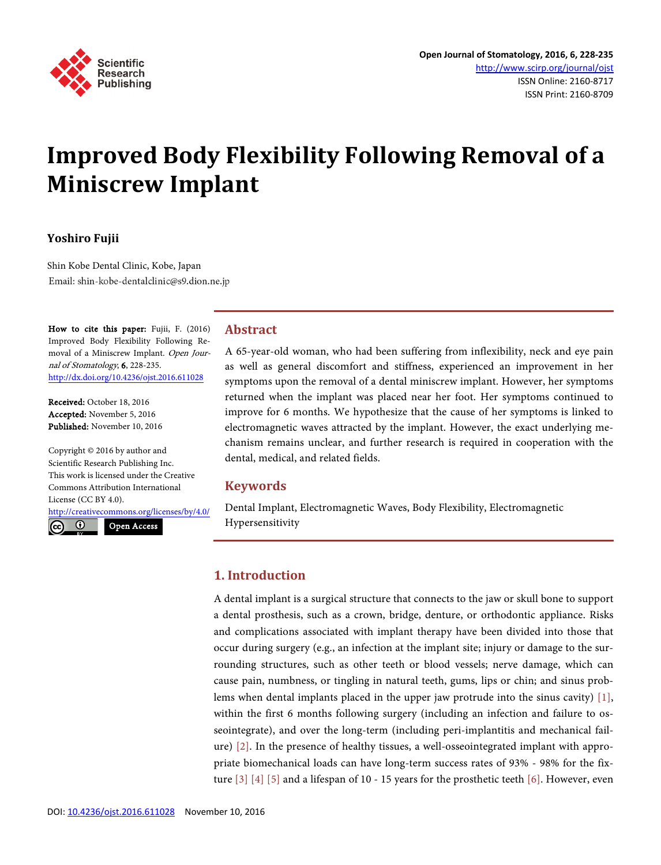

# **Improved Body Flexibility Following Removal of a Miniscrew Implant**

## **Yoshiro Fujii**

Shin Kobe Dental Clinic, Kobe, Japan Email: shin-kobe-dentalclinic@s9.dion.ne.jp

How to cite this paper: Fujii, F. (2016) Improved Body Flexibility Following Removal of a Miniscrew Implant. Open Journal of Stomatology, 6, 228-235. <http://dx.doi.org/10.4236/ojst.2016.611028>

Received: October 18, 2016 Accepted: November 5, 2016 Published: November 10, 2016

Copyright © 2016 by author and Scientific Research Publishing Inc. This work is licensed under the Creative Commons Attribution International License (CC BY 4.0).

<http://creativecommons.org/licenses/by/4.0/>

 $\odot$ 

Open Access

## **Abstract**

A 65-year-old woman, who had been suffering from inflexibility, neck and eye pain as well as general discomfort and stiffness, experienced an improvement in her symptoms upon the removal of a dental miniscrew implant. However, her symptoms returned when the implant was placed near her foot. Her symptoms continued to improve for 6 months. We hypothesize that the cause of her symptoms is linked to electromagnetic waves attracted by the implant. However, the exact underlying mechanism remains unclear, and further research is required in cooperation with the dental, medical, and related fields.

## **Keywords**

Dental Implant, Electromagnetic Waves, Body Flexibility, Electromagnetic Hypersensitivity

## **1. Introduction**

A dental implant is a surgical structure that connects to the jaw or skull bone to support a dental prosthesis, such as a crown, bridge, denture, or orthodontic appliance. Risks and complications associated with implant therapy have been divided into those that occur during surgery (e.g., an infection at the implant site; injury or damage to the surrounding structures, such as other teeth or blood vessels; nerve damage, which can cause pain, numbness, or tingling in natural teeth, gums, lips or chin; and sinus problems when dental implants placed in the upper jaw protrude into the sinus cavity) [\[1\],](#page-5-0)  within the first 6 months following surgery (including an infection and failure to osseointegrate), and over the long-term (including peri-implantitis and mechanical failure) [\[2\].](#page-5-1) In the presence of healthy tissues, a well-osseointegrated implant with appropriate biomechanical loads can have long-term success rates of 93% - 98% for the fixture  $\lceil 3 \rceil$   $\lceil 4 \rceil$   $\lceil 5 \rceil$  and a lifespan of 10 - 15 years for the prosthetic teeth  $\lceil 6 \rceil$ . However, even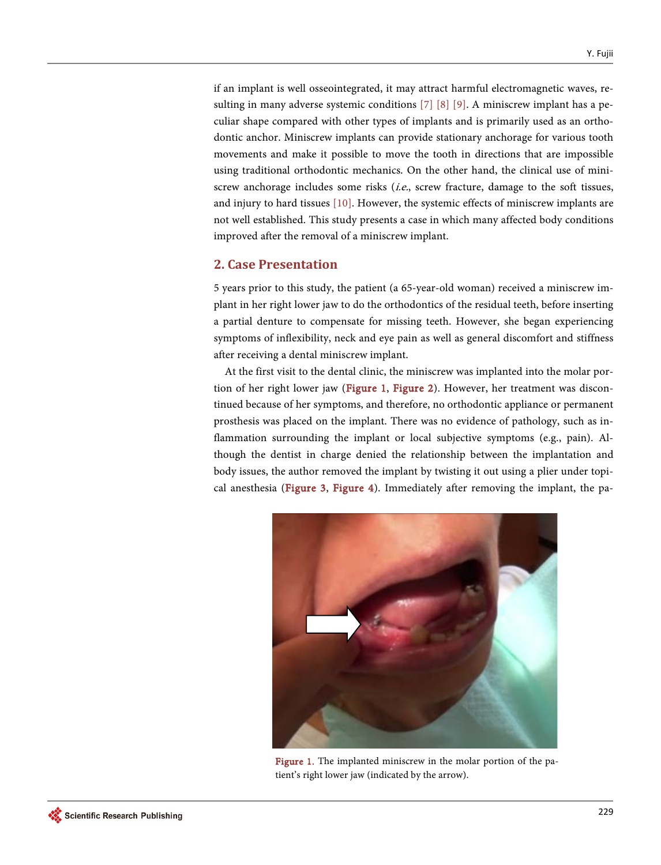if an implant is well osseointegrated, it may attract harmful electromagnetic waves, resulting in many adverse systemic conditions [\[7\]](#page-5-6) [\[8\]](#page-5-7) [\[9\].](#page-5-8) A miniscrew implant has a peculiar shape compared with other types of implants and is primarily used as an orthodontic anchor. Miniscrew implants can provide stationary anchorage for various tooth movements and make it possible to move the tooth in directions that are impossible using traditional orthodontic mechanics. On the other hand, the clinical use of miniscrew anchorage includes some risks  $(i.e.,$  screw fracture, damage to the soft tissues, and injury to hard tissues [\[10\].](#page-6-0) However, the systemic effects of miniscrew implants are not well established. This study presents a case in which many affected body conditions improved after the removal of a miniscrew implant.

## **2. Case Presentation**

5 years prior to this study, the patient (a 65-year-old woman) received a miniscrew implant in her right lower jaw to do the orthodontics of the residual teeth, before inserting a partial denture to compensate for missing teeth. However, she began experiencing symptoms of inflexibility, neck and eye pain as well as general discomfort and stiffness after receiving a dental miniscrew implant.

<span id="page-1-0"></span>At the first visit to the dental clinic, the miniscrew was implanted into the molar por-tion of her right lower jaw [\(Figure 1,](#page-1-0) [Figure 2\)](#page-2-0). However, her treatment was discontinued because of her symptoms, and therefore, no orthodontic appliance or permanent prosthesis was placed on the implant. There was no evidence of pathology, such as inflammation surrounding the implant or local subjective symptoms (e.g., pain). Although the dentist in charge denied the relationship between the implantation and body issues, the author removed the implant by twisting it out using a plier under topical anesthesia [\(Figure 3,](#page-2-1) [Figure 4\)](#page-2-2). Immediately after removing the implant, the pa-



Figure 1. The implanted miniscrew in the molar portion of the patient's right lower jaw (indicated by the arrow).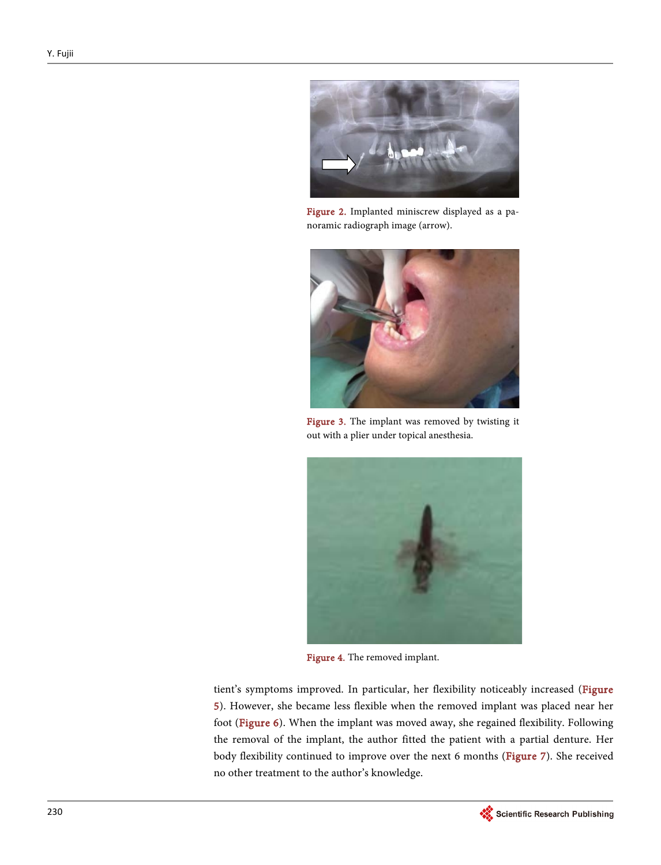<span id="page-2-0"></span>

Figure 2. Implanted miniscrew displayed as a panoramic radiograph image (arrow).

<span id="page-2-1"></span>

Figure 3. The implant was removed by twisting it out with a plier under topical anesthesia.

<span id="page-2-2"></span>

Figure 4. The removed implant.

tient's symptoms improved. In particular, her flexibility noticeably increased (Figure [5\)](#page-3-0). However, she became less flexible when the removed implant was placed near her foot [\(Figure 6\)](#page-3-1). When the implant was moved away, she regained flexibility. Following the removal of the implant, the author fitted the patient with a partial denture. Her body flexibility continued to improve over the next 6 months [\(Figure 7\)](#page-4-0). She received no other treatment to the author's knowledge.

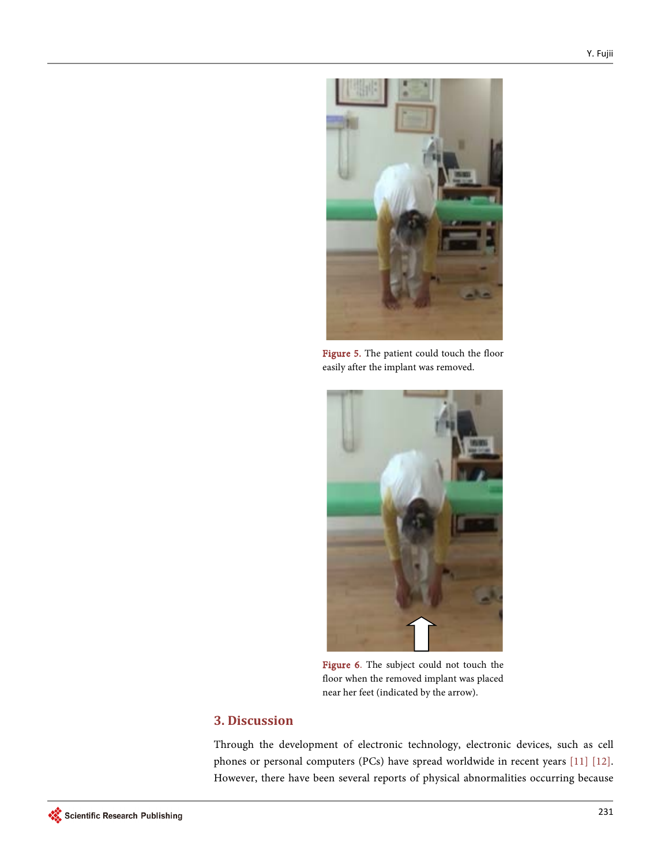<span id="page-3-0"></span>

Figure 5. The patient could touch the floor easily after the implant was removed.

<span id="page-3-1"></span>

Figure 6. The subject could not touch the floor when the removed implant was placed near her feet (indicated by the arrow).

# **3. Discussion**

Through the development of electronic technology, electronic devices, such as cell phones or personal computers (PCs) have spread worldwide in recent years [\[11\]](#page-6-1) [\[12\].](#page-6-2)  However, there have been several reports of physical abnormalities occurring because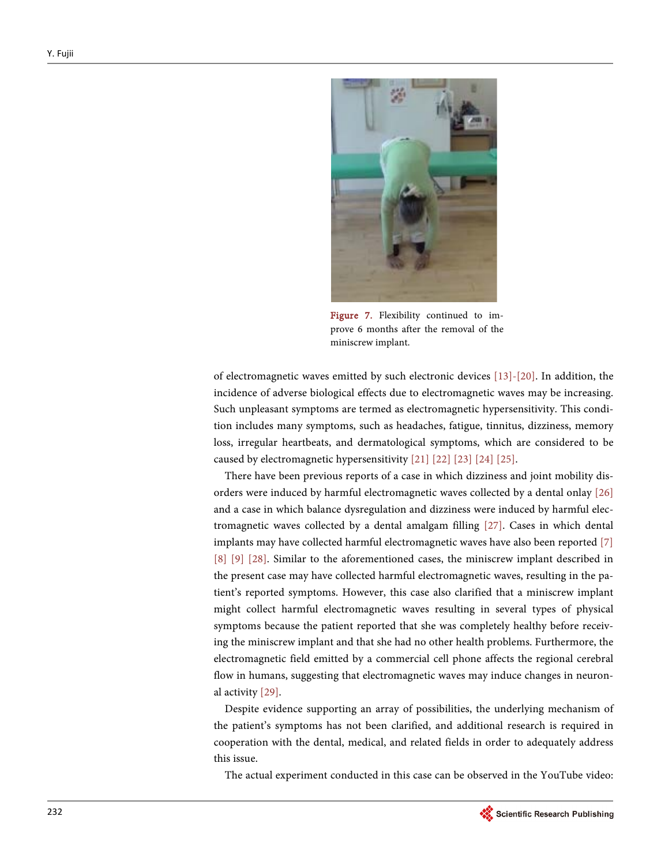<span id="page-4-0"></span>

Figure 7. Flexibility continued to improve 6 months after the removal of the miniscrew implant.

of electromagnetic waves emitted by such electronic devices [\[13\]](#page-6-3)[-\[20\].](#page-6-4) In addition, the incidence of adverse biological effects due to electromagnetic waves may be increasing. Such unpleasant symptoms are termed as electromagnetic hypersensitivity. This condition includes many symptoms, such as headaches, fatigue, tinnitus, dizziness, memory loss, irregular heartbeats, and dermatological symptoms, which are considered to be caused by electromagnetic hypersensitivity [\[21\]](#page-6-5) [\[22\]](#page-6-6) [\[23\]](#page-6-7) [\[24\]](#page-6-8) [\[25\].](#page-6-9) 

There have been previous reports of a case in which dizziness and joint mobility disorders were induced by harmful electromagnetic waves collected by a dental onlay [\[26\]](#page-6-10) and a case in which balance dysregulation and dizziness were induced by harmful electromagnetic waves collected by a dental amalgam filling [\[27\].](#page-7-0) Cases in which dental implants may have collected harmful electromagnetic waves have also been reported [\[7\]](#page-5-6) [\[8\]](#page-5-7) [\[9\]](#page-5-8) [\[28\].](#page-7-1) Similar to the aforementioned cases, the miniscrew implant described in the present case may have collected harmful electromagnetic waves, resulting in the patient's reported symptoms. However, this case also clarified that a miniscrew implant might collect harmful electromagnetic waves resulting in several types of physical symptoms because the patient reported that she was completely healthy before receiving the miniscrew implant and that she had no other health problems. Furthermore, the electromagnetic field emitted by a commercial cell phone affects the regional cerebral flow in humans, suggesting that electromagnetic waves may induce changes in neuronal activity [\[29\].](#page-7-2) 

Despite evidence supporting an array of possibilities, the underlying mechanism of the patient's symptoms has not been clarified, and additional research is required in cooperation with the dental, medical, and related fields in order to adequately address this issue.

The actual experiment conducted in this case can be observed in the YouTube video: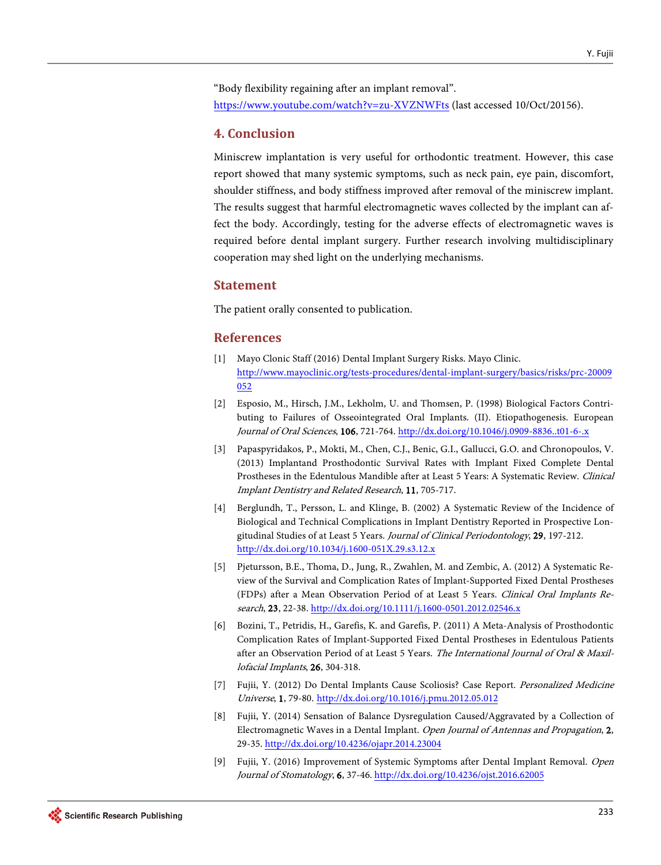"Body flexibility regaining after an implant removal". <https://www.youtube.com/watch?v=zu-XVZNWFts> (last accessed 10/Oct/20156).

## **4. Conclusion**

Miniscrew implantation is very useful for orthodontic treatment. However, this case report showed that many systemic symptoms, such as neck pain, eye pain, discomfort, shoulder stiffness, and body stiffness improved after removal of the miniscrew implant. The results suggest that harmful electromagnetic waves collected by the implant can affect the body. Accordingly, testing for the adverse effects of electromagnetic waves is required before dental implant surgery. Further research involving multidisciplinary cooperation may shed light on the underlying mechanisms.

#### **Statement**

The patient orally consented to publication.

### **References**

- <span id="page-5-0"></span>[1] Mayo Clonic Staff (2016) Dental Implant Surgery Risks. Mayo Clinic. [http://www.mayoclinic.org/tests-procedures/dental-implant-surgery/basics/risks/prc-20009](http://www.mayoclinic.org/tests-procedures/dental-implant-surgery/basics/risks/prc-20009052) [052](http://www.mayoclinic.org/tests-procedures/dental-implant-surgery/basics/risks/prc-20009052)
- <span id="page-5-1"></span>[2] Esposio, M., Hirsch, J.M., Lekholm, U. and Thomsen, P. (1998) Biological Factors Contributing to Failures of Osseointegrated Oral Implants. (II). Etiopathogenesis. European Journal of Oral Sciences, 106, 721-764. <http://dx.doi.org/10.1046/j.0909-8836..t01-6-.x>
- <span id="page-5-2"></span>[3] Papaspyridakos, P., Mokti, M., Chen, C.J., Benic, G.I., Gallucci, G.O. and Chronopoulos, V. (2013) Implantand Prosthodontic Survival Rates with Implant Fixed Complete Dental Prostheses in the Edentulous Mandible after at Least 5 Years: A Systematic Review. Clinical Implant Dentistry and Related Research, 11, 705-717.
- <span id="page-5-3"></span>[4] Berglundh, T., Persson, L. and Klinge, B. (2002) A Systematic Review of the Incidence of Biological and Technical Complications in Implant Dentistry Reported in Prospective Longitudinal Studies of at Least 5 Years. Journal of Clinical Periodontology, 29, 197-212. <http://dx.doi.org/10.1034/j.1600-051X.29.s3.12.x>
- <span id="page-5-4"></span>[5] Pjetursson, B.E., Thoma, D., Jung, R., Zwahlen, M. and Zembic, A. (2012) A Systematic Review of the Survival and Complication Rates of Implant-Supported Fixed Dental Prostheses (FDPs) after a Mean Observation Period of at Least 5 Years. Clinical Oral Implants Research, 23, 22-38. <http://dx.doi.org/10.1111/j.1600-0501.2012.02546.x>
- <span id="page-5-5"></span>[6] Bozini, T., Petridis, H., Garefis, K. and Garefis, P. (2011) A Meta-Analysis of Prosthodontic Complication Rates of Implant-Supported Fixed Dental Prostheses in Edentulous Patients after an Observation Period of at Least 5 Years. The International Journal of Oral & Maxillofacial Implants, 26, 304-318.
- <span id="page-5-6"></span>[7] Fujii, Y. (2012) Do Dental Implants Cause Scoliosis? Case Report. Personalized Medicine Universe, 1, 79-80. <http://dx.doi.org/10.1016/j.pmu.2012.05.012>
- <span id="page-5-7"></span>[8] Fujii, Y. (2014) Sensation of Balance Dysregulation Caused/Aggravated by a Collection of Electromagnetic Waves in a Dental Implant. Open Journal of Antennas and Propagation, 2, 29-35[. http://dx.doi.org/10.4236/ojapr.2014.23004](http://dx.doi.org/10.4236/ojapr.2014.23004)
- <span id="page-5-8"></span>[9] Fujii, Y. (2016) Improvement of Systemic Symptoms after Dental Implant Removal. Open Journal of Stomatology, 6, 37-46[. http://dx.doi.org/10.4236/ojst.2016.62005](http://dx.doi.org/10.4236/ojst.2016.62005)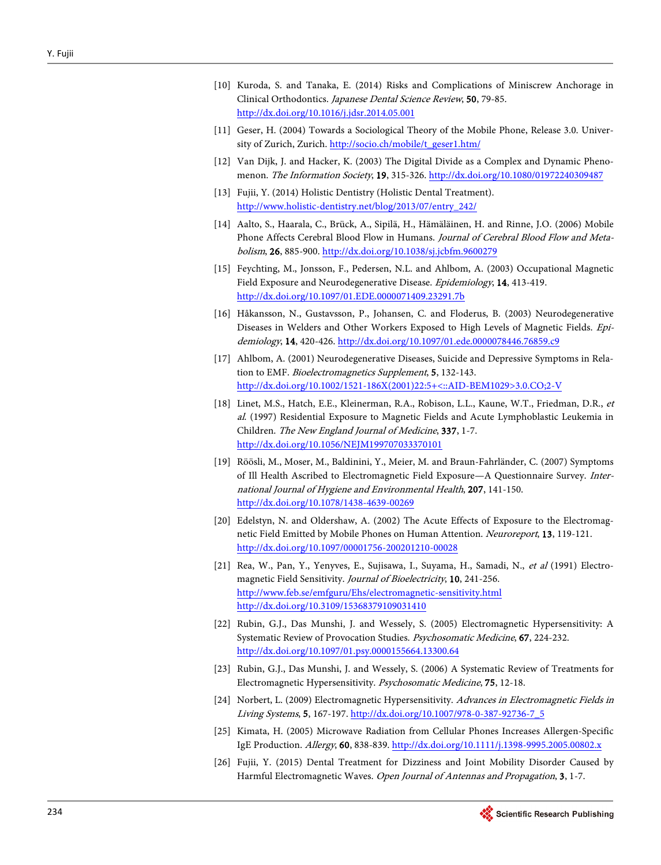- <span id="page-6-0"></span>[10] Kuroda, S. and Tanaka, E. (2014) Risks and Complications of Miniscrew Anchorage in Clinical Orthodontics. Japanese Dental Science Review, 50, 79-85. <http://dx.doi.org/10.1016/j.jdsr.2014.05.001>
- <span id="page-6-1"></span>[11] Geser, H. (2004) Towards a Sociological Theory of the Mobile Phone, Release 3.0. University of Zurich, Zurich. [http://socio.ch/mobile/t\\_geser1.htm/](http://socio.ch/mobile/t_geser1.htm/)
- <span id="page-6-2"></span>[12] Van Dijk, J. and Hacker, K. (2003) The Digital Divide as a Complex and Dynamic Phenomenon. The Information Society, 19, 315-326[. http://dx.doi.org/10.1080/01972240309487](http://dx.doi.org/10.1080/01972240309487)
- <span id="page-6-3"></span>[13] Fujii, Y. (2014) Holistic Dentistry (Holistic Dental Treatment). [http://www.holistic-dentistry.net/blog/2013/07/entry\\_242/](http://www.holistic-dentistry.net/blog/2013/07/entry_242/)
- [14] Aalto, S., Haarala, C., Brück, A., Sipilä, H., Hämäläinen, H. and Rinne, J.O. (2006) Mobile Phone Affects Cerebral Blood Flow in Humans. Journal of Cerebral Blood Flow and Metabolism, 26, 885-900. <http://dx.doi.org/10.1038/sj.jcbfm.9600279>
- [15] Feychting, M., Jonsson, F., Pedersen, N.L. and Ahlbom, A. (2003) Occupational Magnetic Field Exposure and Neurodegenerative Disease. Epidemiology, 14, 413-419. <http://dx.doi.org/10.1097/01.EDE.0000071409.23291.7b>
- [16] Håkansson, N., Gustavsson, P., Johansen, C. and Floderus, B. (2003) Neurodegenerative Diseases in Welders and Other Workers Exposed to High Levels of Magnetic Fields. Epidemiology, 14, 420-426. <http://dx.doi.org/10.1097/01.ede.0000078446.76859.c9>
- [17] Ahlbom, A. (2001) Neurodegenerative Diseases, Suicide and Depressive Symptoms in Relation to EMF. Bioelectromagnetics Supplement, 5, 132-143. [http://dx.doi.org/10.1002/1521-186X\(2001\)22:5+<::AID-BEM1029>3.0.CO;2-V](http://dx.doi.org/10.1002/1521-186X(2001)22:5+%3C::AID-BEM1029%3E3.0.CO;2-V)
- [18] Linet, M.S., Hatch, E.E., Kleinerman, R.A., Robison, L.L., Kaune, W.T., Friedman, D.R., et al. (1997) Residential Exposure to Magnetic Fields and Acute Lymphoblastic Leukemia in Children. The New England Journal of Medicine, 337, 1-7. <http://dx.doi.org/10.1056/NEJM199707033370101>
- [19] Röösli, M., Moser, M., Baldinini, Y., Meier, M. and Braun-Fahrländer, C. (2007) Symptoms of Ill Health Ascribed to Electromagnetic Field Exposure—A Questionnaire Survey. International Journal of Hygiene and Environmental Health, 207, 141-150. <http://dx.doi.org/10.1078/1438-4639-00269>
- <span id="page-6-4"></span>[20] Edelstyn, N. and Oldershaw, A. (2002) The Acute Effects of Exposure to the Electromagnetic Field Emitted by Mobile Phones on Human Attention. Neuroreport, 13, 119-121. <http://dx.doi.org/10.1097/00001756-200201210-00028>
- <span id="page-6-5"></span>[21] Rea, W., Pan, Y., Yenyves, E., Sujisawa, I., Suyama, H., Samadi, N., et al (1991) Electromagnetic Field Sensitivity. Journal of Bioelectricity, 10, 241-256. <http://www.feb.se/emfguru/Ehs/electromagnetic-sensitivity.html> <http://dx.doi.org/10.3109/15368379109031410>
- <span id="page-6-6"></span>[22] Rubin, G.J., Das Munshi, J. and Wessely, S. (2005) Electromagnetic Hypersensitivity: A Systematic Review of Provocation Studies. Psychosomatic Medicine, 67, 224-232. <http://dx.doi.org/10.1097/01.psy.0000155664.13300.64>
- <span id="page-6-7"></span>[23] Rubin, G.J., Das Munshi, J. and Wessely, S. (2006) A Systematic Review of Treatments for Electromagnetic Hypersensitivity. Psychosomatic Medicine, 75, 12-18.
- <span id="page-6-8"></span>[24] Norbert, L. (2009) Electromagnetic Hypersensitivity. Advances in Electromagnetic Fields in Living Systems, 5, 167-197. [http://dx.doi.org/10.1007/978-0-387-92736-7\\_5](http://dx.doi.org/10.1007/978-0-387-92736-7_5)
- <span id="page-6-9"></span>[25] Kimata, H. (2005) Microwave Radiation from Cellular Phones Increases Allergen-Specific IgE Production. Allergy, 60, 838-839[. http://dx.doi.org/10.1111/j.1398-9995.2005.00802.x](http://dx.doi.org/10.1111/j.1398-9995.2005.00802.x)
- <span id="page-6-10"></span>[26] Fujii, Y. (2015) Dental Treatment for Dizziness and Joint Mobility Disorder Caused by Harmful Electromagnetic Waves. Open Journal of Antennas and Propagation, 3, 1-7.